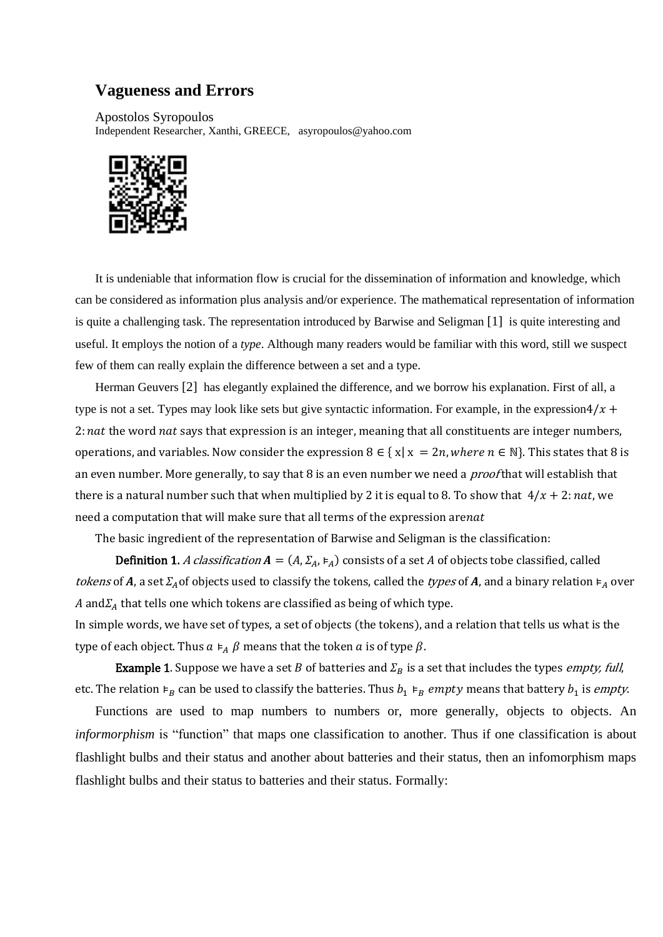## **Vagueness and Errors**

Apostolos Syropoulos Independent Researcher, Xanthi, GREECE, asyropoulos@yahoo.com



It is undeniable that information flow is crucial for the dissemination of information and knowledge, which can be considered as information plus analysis and/or experience. The mathematical representation of information is quite a challenging task. The representation introduced by Barwise and Seligman [1] is quite interesting and useful. It employs the notion of a *type*. Although many readers would be familiar with this word, still we suspect few of them can really explain the difference between a set and a type.

Herman Geuvers [2] has elegantly explained the difference, and we borrow his explanation. First of all, a type is not a set. Types may look like sets but give syntactic information. For example, in the expression $4/x +$ 2: nat the word nat says that expression is an integer, meaning that all constituents are integer numbers, operations, and variables. Now consider the expression  $8 \in \{x | x = 2n, where n \in \mathbb{N}\}$ . This states that 8 is an even number. More generally, to say that 8 is an even number we need a *proof* that will establish that there is a natural number such that when multiplied by 2 it is equal to 8. To show that  $4/x + 2$ : nat, we need a computation that will make sure that all terms of the expression arenat

The basic ingredient of the representation of Barwise and Seligman is the classification:

**Definition 1.** A classification  $A = (A, \Sigma_A, \varepsilon_A)$  consists of a set A of objects tobe classified, called tokens of A, a set  $\Sigma_A$  of objects used to classify the tokens, called the types of A, and a binary relation  $\models_A$  over A and  $\Sigma_A$  that tells one which tokens are classified as being of which type.

In simple words, we have set of types, a set of objects (the tokens), and a relation that tells us what is the type of each object. Thus  $a \vDash A \beta$  means that the token a is of type  $\beta$ .

**Example 1.** Suppose we have a set *B* of batteries and  $\Sigma_B$  is a set that includes the types *empty, full*, etc. The relation  $\varepsilon_B$  can be used to classify the batteries. Thus  $b_1 \varepsilon_B$  *empty* means that battery  $b_1$  is *empty*.

Functions are used to map numbers to numbers or, more generally, objects to objects. An *informorphism* is "function" that maps one classification to another. Thus if one classification is about flashlight bulbs and their status and another about batteries and their status, then an infomorphism maps flashlight bulbs and their status to batteries and their status. Formally: